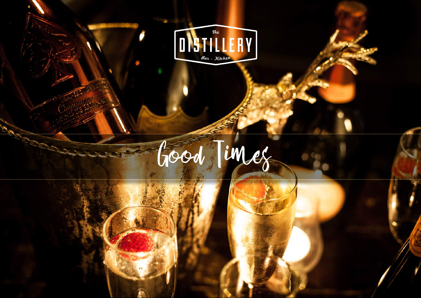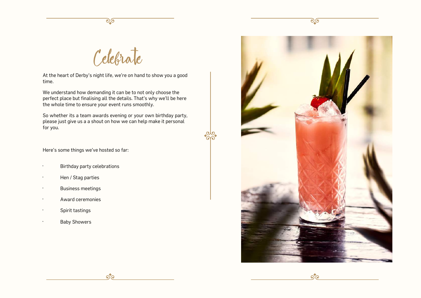

Celebrate

At the heart of Derby's night life, we're on hand to show you a good time.

We understand how demanding it can be to not only choose the perfect place but finalising all the details. That's why we'll be here the whole time to ensure your event runs smoothly.

So whether its a team awards evening or your own birthday party, please just give us a a shout on how we can help make it personal for you.

 $\delta$ 

Here's some things we've hosted so far:

- · Birthday party celebrations
- · Hen / Stag parties
- · Business meetings
- · Award ceremonies
- · Spirit tastings
- **Baby Showers**



<u>२</u>०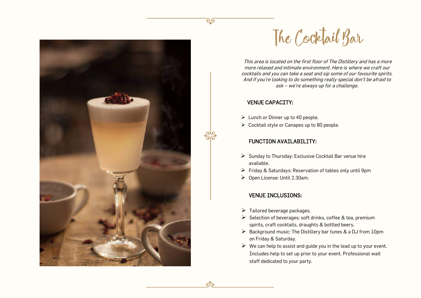



This area is located on the first floor of The Distillery and has a more more relaxed and intimate environment. Here is where we craft our cocktails and you can take a seat and sip some of our favourite spirits. And if you're looking to do something really special don't be afraid to ask – we're always up for a challenge.

### VENUE CAPACITY:

ில்

- $\triangleright$  Lunch or Dinner up to 40 people.
- Cocktail style or Canapes up to 80 people.

# FUNCTION AVAILABILITY:

- $\triangleright$  Sunday to Thursday: Exclusive Cocktail Bar venue hire available.
- $\triangleright$  Friday & Saturdays: Reservation of tables only until 9pm
- Open License: Until 2.30am.

### VENUE INCLUSIONS:

- $\triangleright$  Tailored beverage packages.
- $\triangleright$  Selection of beverages: soft drinks, coffee & tea, premium spirits, craft cocktails, draughts & bottled beers.
- $\triangleright$  Background music: The Distillery bar tunes & a DJ from 10pm on Friday & Saturday.
- $\triangleright$  We can help to assist and quide you in the lead up to your event. Includes help to set up prior to your event. Professional wait staff dedicated to your party.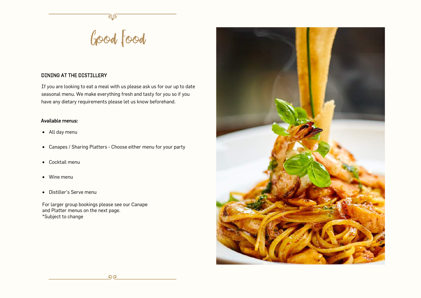# Good Food

# DINING AT THE DISTILLERY

If you are looking to eat a meal with us please ask us for our up to date seasonal menu. We make everything fresh and tasty for you so if you have any dietary requirements please let us know beforehand.

# Available menus:

- All day menu
- Canapes / Sharing Platters Choose either menu for your party
- Cocktail menu
- Wine menu
- Distiller's Serve menu

For larger group bookings please see our Canape and Platter menus on the next page. \*Subject to change

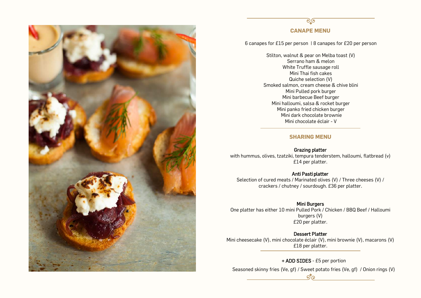

# <u>್ರ</u>ಂ **CANAPE MENU**

6 canapes for £15 per person | 8 canapes for £20 per person

Stilton, walnut & pear on Melba toast (V) Serrano ham & melon White Truffle sausage roll Mini Thai fish cakes Quiche selection (V) Smoked salmon, cream cheese & chive blini Mini Pulled pork burger Mini barbecue Beef burger Mini halloumi, salsa & rocket burger Mini panko fried chicken burger Mini dark chocolate brownie Mini chocolate éclair - V

### **SHARING MENU**

### Grazing platter

with hummus, olives, tzatziki, tempura tenderstem, halloumi, flatbread (v) £14 per platter.

### Anti Pasti platter

Selection of cured meats / Marinated olives (V) / Three cheeses (V) / crackers / chutney / sourdough. £36 per platter.

# Mini Burgers

One platter has either 10 mini Pulled Pork / Chicken / BBQ Beef / Halloumi burgers (V) £20 per platter.

# Dessert Platter

Mini cheesecake (V), mini chocolate éclair (V), mini brownie (V), macarons (V) £18 per platter.

+ ADD SIDES - £5 per portion

Seasoned skinny fries (Ve, gf) / Sweet potato fries (Ve, gf) / Onion rings (V)  $\sigma$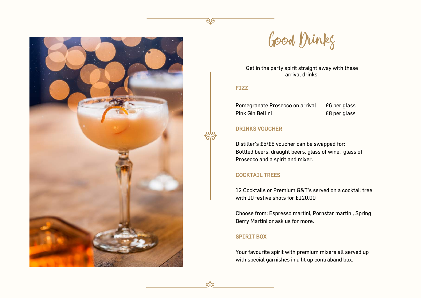



Get in the party spirit straight away with these arrival drinks.

# FIZZ

<u>್ರಾ</u>

£6 per glass £8 per glass Pomegranate Prosecco on arrival Pink Gin Bellini

# DRINKS VOUCHER

Distiller's £5/£8 voucher can be swapped for: Bottled beers, draught beers, glass of wine, glass of Prosecco and a spirit and mixer.

# COCKTAIL TREES

12 Cocktails or Premium G&T's served on a cocktail tree with 10 festive shots for £120.00

Choose from: Espresso martini, Pornstar martini, Spring Berry Martini or ask us for more.

# SPIRIT BOX

Your favourite spirit with premium mixers all served up with special garnishes in a lit up contraband box.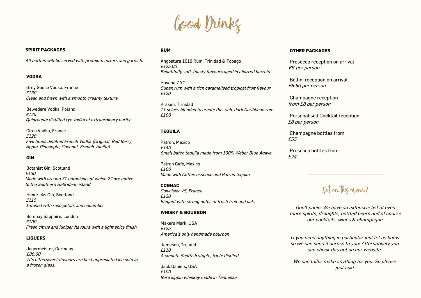

### **SPIRIT PACKAGES**

All bottles will be served with premium mixers and garnish.

### **VODKA**

Grey Goose Vodka, France £130 Clean and fresh with a smooth creamy texture

Belvedere Vodka, Poland £125 Quidrouple distilled rye vodka of extraordinary purity

Ciroc Vodka, France £120 Five times distilled French Vodka (Original, Red Berry, Apple, Pineapple, Coconut, French Vanilla)

### **GIN**

Botanist Gin, Scotland £130 Made with around 31 botanicals of which 22 are native to the Southern Hebridean island

Hendricks Gin, Scotland £115 Infused with rose petals and cucumber

Bombay Sapphire, London £100 Fresh citrus and juniper flavours with a light spicy finish.

### **LIQUERS**

Jagermeister, Germany £80.00 It's bittersweet flavours are best appreciated ice cold in a frozen glass.

### **RUM**

Angostura 1919 Rum, Trinidad & Tobago £125.00 Beautifully soft, toasty flavours aged in charred barrels

Havana 7 YO Cuban rum with a rich caramelised tropical fruit flavour. £120

Kraken, Trinidad 11 spices blended to create this rich, dark Caribbean rum  $f100$ 

### **TEQUILA**

Patron, Mexico £140 Small batch tequila made from 100% Weber Blue Agave

Patron Cafe, Mexico  $f100$ Made with Coffee essence and Patron tequila

### **COGNAC**

Coivoisier VS, France £120 Elegant with strong notes of fresh fruit and oak.

### **WHISKY & BOURBON**

Makers Mark, USA £125 America's only handmade bourbon

Jameson, Ireland £110 A smooth Scottish staple, triple distiled

Jack Daniels, USA £100 Rare sippin whiskey made in Tennesse.

### **OTHER PACKAGES**

Prosecco reception on arrival £6 per person

Bellini reception on arrival £6.50 per person

Champagne reception from £8 per person

Personalised Cocktail reception £8 per person

Champagne bottles from £55

Prosecco bottles from £24

# Not on this menu?

Don't panic. We have an extensive list of even more spirits, draughts, bottled beers and of course our cocktails, wines & champagne.

If you need anything in particular just let us know so we can send it across to you! Alternatively you can check this out on our website.

We can tailor make anything for you. So please just ask!